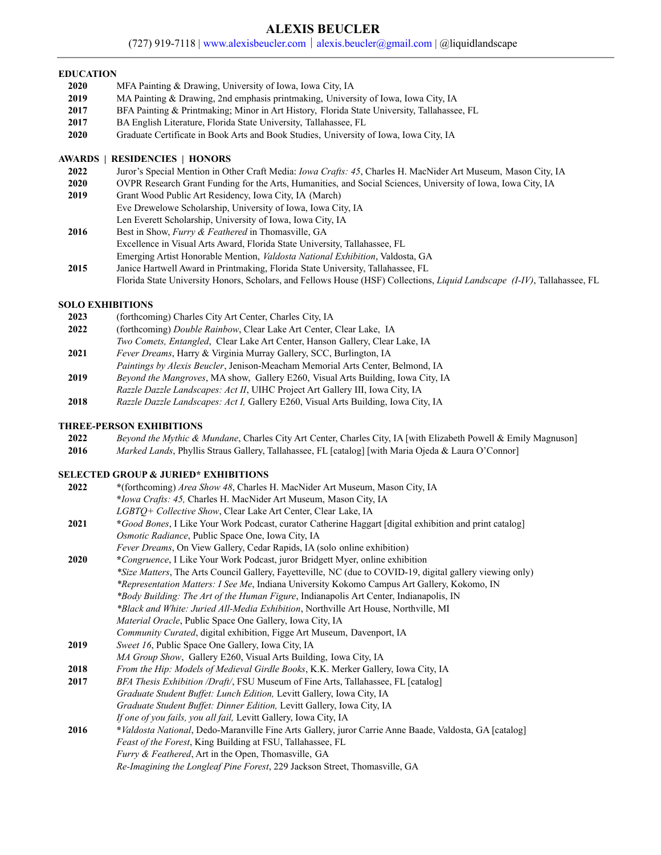# **ALEXIS BEUCLER**

(727) 919-7118 | [www.alexisbeucler.com](http://www.alexisbeucler.com) | [alexis.beucler@gmail.com](mailto:alexis.beucler@gmail.com) | @liquidlandscape

### **EDUCATION**

- **2020** MFA Painting & Drawing, University of Iowa, Iowa City, IA
- **2019** MA Painting & Drawing, 2nd emphasis printmaking, University of Iowa, Iowa City, IA
- **2017** BFA Painting & Printmaking; Minor in Art History, Florida State University, Tallahassee, FL
- **2017** BA English Literature, Florida State University, Tallahassee, FL
- **2020** Graduate Certificate in Book Arts and Book Studies, University of Iowa, Iowa City, IA

### **AWARDS | RESIDENCIES | HONORS**

- **2022** Juror's Special Mention in Other Craft Media: *Iowa Crafts: 45*, Charles H. MacNider Art Museum, Mason City, IA
- **2020** OVPR Research Grant Funding for the Arts, Humanities, and Social Sciences, University of Iowa, Iowa City, IA
- **2019** Grant Wood Public Art Residency, Iowa City, IA (March) Eve Drewelowe Scholarship, University of Iowa, Iowa City, IA Len Everett Scholarship, University of Iowa, Iowa City, IA **2016** Best in Show, *Furry & Feathered* in Thomasville, GA
- Excellence in Visual Arts Award, Florida State University, Tallahassee, FL
- Emerging Artist Honorable Mention, *Valdosta National Exhibition*, Valdosta, GA **2015** Janice Hartwell Award in Printmaking, Florida State University, Tallahassee, FL
- Florida State University Honors, Scholars, and Fellows House (HSF) Collections, *Liquid Landscape (I-IV)*, Tallahassee, FL

# **SOLO EXHIBITIONS**

- **2023** (forthcoming) Charles City Art Center, Charles City, IA
- **2022** (forthcoming) *Double Rainbow*, Clear Lake Art Center, Clear Lake, IA
- *Two Comets, Entangled*, Clear Lake Art Center, Hanson Gallery, Clear Lake, IA
- **2021** *Fever Dreams*, Harry & Virginia Murray Gallery, SCC, Burlington, IA
- *Paintings by Alexis Beucler*, Jenison-Meacham Memorial Arts Center, Belmond, IA **2019** *Beyond the Mangroves*, MA show, Gallery E260, Visual Arts Building, Iowa City, IA
- *Razzle Dazzle Landscapes: Act II*, UIHC Project Art Gallery III, Iowa City, IA
- **2018** *Razzle Dazzle Landscapes: Act I,* Gallery E260, Visual Arts Building, Iowa City, IA

## **THREE-PERSON EXHIBITIONS**

| 2022 | Beyond the Mythic & Mundane, Charles City Art Center, Charles City, IA [with Elizabeth Powell & Emily Magnuson] |  |
|------|-----------------------------------------------------------------------------------------------------------------|--|
|      |                                                                                                                 |  |

**2016** *Marked Lands*, Phyllis Straus Gallery, Tallahassee, FL [catalog] [with Maria Ojeda & Laura O'Connor]

# **SELECTED GROUP & JURIED\* EXHIBITIONS**

| 2022 | *(forthcoming) <i>Area Show 48</i> , Charles H. MacNider Art Museum, Mason City, IA                            |  |  |
|------|----------------------------------------------------------------------------------------------------------------|--|--|
|      | *Iowa Crafts: 45, Charles H. MacNider Art Museum, Mason City, IA                                               |  |  |
|      | LGBTQ+ Collective Show, Clear Lake Art Center, Clear Lake, IA                                                  |  |  |
| 2021 | *Good Bones, I Like Your Work Podcast, curator Catherine Haggart [digital exhibition and print catalog]        |  |  |
|      | Osmotic Radiance, Public Space One, Iowa City, IA                                                              |  |  |
|      | Fever Dreams, On View Gallery, Cedar Rapids, IA (solo online exhibition)                                       |  |  |
| 2020 | *Congruence, I Like Your Work Podcast, juror Bridgett Myer, online exhibition                                  |  |  |
|      | *Size Matters, The Arts Council Gallery, Fayetteville, NC (due to COVID-19, digital gallery viewing only)      |  |  |
|      | *Representation Matters: I See Me, Indiana University Kokomo Campus Art Gallery, Kokomo, IN                    |  |  |
|      | *Body Building: The Art of the Human Figure, Indianapolis Art Center, Indianapolis, IN                         |  |  |
|      | *Black and White: Juried All-Media Exhibition, Northville Art House, Northville, MI                            |  |  |
|      | <i>Material Oracle</i> , Public Space One Gallery, Iowa City, IA                                               |  |  |
|      | Community Curated, digital exhibition, Figge Art Museum, Davenport, IA                                         |  |  |
| 2019 | Sweet 16, Public Space One Gallery, Iowa City, IA                                                              |  |  |
|      | MA Group Show, Gallery E260, Visual Arts Building, Iowa City, IA                                               |  |  |
| 2018 | From the Hip: Models of Medieval Girdle Books, K.K. Merker Gallery, Iowa City, IA                              |  |  |
| 2017 | BFA Thesis Exhibition /Draft/, FSU Museum of Fine Arts, Tallahassee, FL [catalog]                              |  |  |
|      | Graduate Student Buffet: Lunch Edition, Levitt Gallery, Iowa City, IA                                          |  |  |
|      | Graduate Student Buffet: Dinner Edition, Levitt Gallery, Iowa City, IA                                         |  |  |
|      | If one of you fails, you all fail, Levitt Gallery, Iowa City, IA                                               |  |  |
| 2016 | <i>*Valdosta National</i> , Dedo-Maranville Fine Arts Gallery, juror Carrie Anne Baade, Valdosta, GA [catalog] |  |  |
|      | Feast of the Forest, King Building at FSU, Tallahassee, FL                                                     |  |  |
|      | Furry & Feathered, Art in the Open, Thomasville, GA                                                            |  |  |
|      | Re-Imagining the Longleaf Pine Forest, 229 Jackson Street, Thomasville, GA                                     |  |  |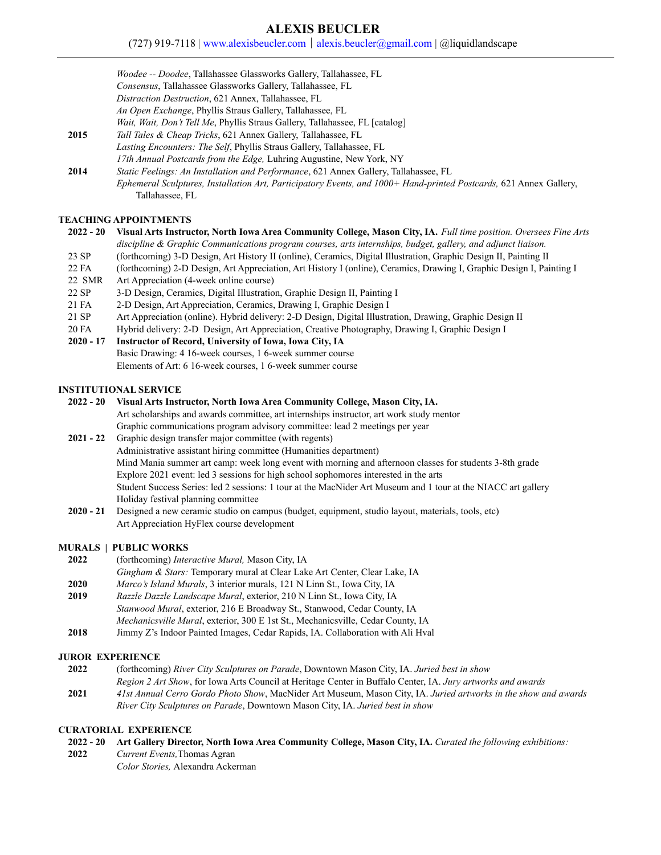# **ALEXIS BEUCLER**

(727) 919-7118 | [www.alexisbeucler.com](http://www.alexisbeucler.com) | [alexis.beucler@gmail.com](mailto:alexis.beucler@gmail.com) | @liquidlandscape

- *Consensus*, Tallahassee Glassworks Gallery, Tallahassee, FL
- *Distraction Destruction*, 621 Annex, Tallahassee, FL
- *An Open Exchange*, Phyllis Straus Gallery, Tallahassee, FL
- *Wait, Wait, Don't Tell Me*, Phyllis Straus Gallery, Tallahassee, FL [catalog]
- **2015** *Tall Tales & Cheap Tricks*, 621 Annex Gallery, Tallahassee, FL

*Lasting Encounters: The Self*, Phyllis Straus Gallery, Tallahassee, FL

- *17th Annual Postcards from the Edge,* Luhring Augustine, New York, NY
- **2014** *Static Feelings: An Installation and Performance*, 621 Annex Gallery, Tallahassee, FL *Ephemeral Sculptures, Installation Art, Participatory Events, and 1000+ Hand-printed Postcards,* 621 Annex Gallery, Tallahassee, FL

## **TEACHING APPOINTMENTS**

```
2022 - 20 Visual Arts Instructor, North Iowa Area Community College, Mason City, IA. Full time position. Oversees Fine Arts
discipline & Graphic Communications program courses, arts internships, budget, gallery, and adjunct liaison.
```
- 23 SP (forthcoming) 3-D Design, Art History II (online), Ceramics, Digital Illustration, Graphic Design II, Painting II
- 22 FA (forthcoming) 2-D Design, Art Appreciation, Art History I (online), Ceramics, Drawing I, Graphic Design I, Painting I
- 22 SMR Art Appreciation (4-week online course)
- 22 SP 3-D Design, Ceramics, Digital Illustration, Graphic Design II, Painting I
- 21 FA 2-D Design, Art Appreciation, Ceramics, Drawing I, Graphic Design I
- 21 SP Art Appreciation (online). Hybrid delivery: 2-D Design, Digital Illustration, Drawing, Graphic Design II
- 20 FA Hybrid delivery: 2-D Design, Art Appreciation, Creative Photography, Drawing I, Graphic Design I

### **2020 - 17 Instructor of Record, University of Iowa, Iowa City, IA**

Basic Drawing: 4 16-week courses, 1 6-week summer course Elements of Art: 6 16-week courses, 1 6-week summer course

### **INSTITUTIONAL SERVICE**

- **2022 20 Visual Arts Instructor, North Iowa Area Community College, Mason City, IA.** Art scholarships and awards committee, art internships instructor, art work study mentor Graphic communications program advisory committee: lead 2 meetings per year **2021 - 22** Graphic design transfer major committee (with regents)
- Administrative assistant hiring committee (Humanities department) Mind Mania summer art camp: week long event with morning and afternoon classes for students 3-8th grade Explore 2021 event: led 3 sessions for high school sophomores interested in the arts Student Success Series: led 2 sessions: 1 tour at the MacNider Art Museum and 1 tour at the NIACC art gallery Holiday festival planning committee
- **2020 21** Designed a new ceramic studio on campus (budget, equipment, studio layout, materials, tools, etc) Art Appreciation HyFlex course development

# **MURALS | PUBLIC WORKS**

- **2022** (forthcoming) *Interactive Mural,* Mason City, IA
- *Gingham & Stars:* Temporary mural at Clear Lake Art Center, Clear Lake, IA
- **2020** *Marco's Island Murals*, 3 interior murals, 121 N Linn St., Iowa City, IA
- **2019** *Razzle Dazzle Landscape Mural*, exterior, 210 N Linn St., Iowa City, IA *Stanwood Mural*, exterior, 216 E Broadway St., Stanwood, Cedar County, IA *Mechanicsville Mural*, exterior, 300 E 1st St., Mechanicsville, Cedar County, IA
- **2018** Jimmy Z's Indoor Painted Images, Cedar Rapids, IA. Collaboration with Ali Hval

# **JUROR EXPERIENCE**

**2022** (forthcoming) *River City Sculptures on Parade*, Downtown Mason City, IA. *Juried best in show Region 2 Art Show*, for Iowa Arts Council at Heritage Center in Buffalo Center, IA. *Jury artworks and awards* **2021** *41st Annual Cerro Gordo Photo Show*, MacNider Art Museum, Mason City, IA. *Juried artworks in the show and awards River City Sculptures on Parade*, Downtown Mason City, IA. *Juried best in show*

# **CURATORIAL EXPERIENCE**

- **2022 - 20 Art Gallery Director, North Iowa Area Community College, Mason City, IA.** *Curated the following exhibitions:*
- **2022** *Current Events,*Thomas Agran *Color Stories,* Alexandra Ackerman